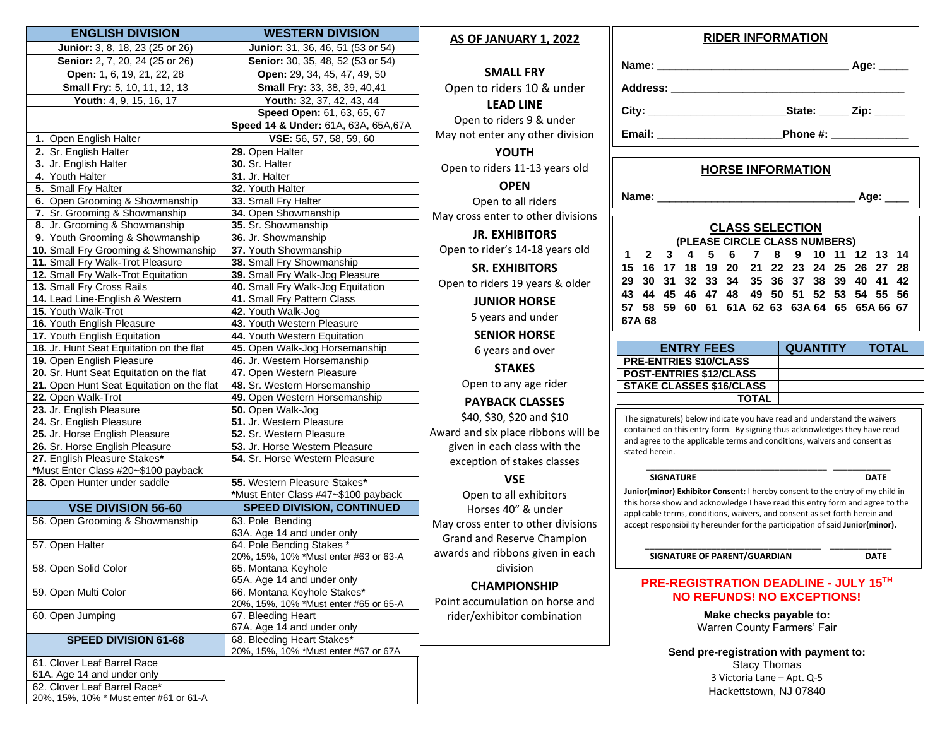| <b>ENGLISH DIVISION</b>                   | <b>WESTERN DIVISION</b>                                 |   |
|-------------------------------------------|---------------------------------------------------------|---|
| Junior: 3, 8, 18, 23 (25 or 26)           | Junior: 31, 36, 46, 51 (53 or 54)                       |   |
| Senior: 2, 7, 20, 24 (25 or 26)           | Senior: 30, 35, 48, 52 (53 or 54)                       |   |
| Open: 1, 6, 19, 21, 22, 28                | Open: 29, 34, 45, 47, 49, 50                            |   |
| <b>Small Fry:</b> 5, 10, 11, 12, 13       | Small Fry: 33, 38, 39, 40,41                            |   |
| Youth: 4, 9, 15, 16, 17                   | Youth: 32, 37, 42, 43, 44                               |   |
|                                           | Speed Open: 61, 63, 65, 67                              |   |
|                                           | Speed 14 & Under: 61A, 63A, 65A, 67A                    |   |
| 1. Open English Halter                    | VSE: 56, 57, 58, 59, 60                                 |   |
| 2. Sr. English Halter                     | 29. Open Halter                                         |   |
| 3. Jr. English Halter                     | 30. Sr. Halter                                          |   |
| 4. Youth Halter                           | 31. Jr. Halter                                          |   |
| 5. Small Fry Halter                       | 32. Youth Halter                                        |   |
| 6. Open Grooming & Showmanship            | 33. Small Fry Halter                                    |   |
| 7. Sr. Grooming & Showmanship             | 34. Open Showmanship                                    |   |
| 8. Jr. Grooming & Showmanship             | 35. Sr. Showmanship                                     |   |
| 9. Youth Grooming & Showmanship           | 36. Jr. Showmanship                                     |   |
| 10. Small Fry Grooming & Showmanship      | 37. Youth Showmanship                                   |   |
| 11. Small Fry Walk-Trot Pleasure          | 38. Small Fry Showmanship                               |   |
| 12. Small Fry Walk-Trot Equitation        | 39. Small Fry Walk-Jog Pleasure                         |   |
| 13. Small Fry Cross Rails                 | 40. Small Fry Walk-Jog Equitation                       |   |
| 14. Lead Line-English & Western           | 41. Small Fry Pattern Class                             |   |
| 15. Youth Walk-Trot                       | 42. Youth Walk-Jog                                      |   |
| 16. Youth English Pleasure                | 43. Youth Western Pleasure                              |   |
| 17. Youth English Equitation              | 44. Youth Western Equitation                            |   |
| 18. Jr. Hunt Seat Equitation on the flat  | 45. Open Walk-Jog Horsemanship                          |   |
| 19. Open English Pleasure                 | 46. Jr. Western Horsemanship                            |   |
| 20. Sr. Hunt Seat Equitation on the flat  | 47. Open Western Pleasure                               |   |
| 21. Open Hunt Seat Equitation on the flat | 48. Sr. Western Horsemanship                            |   |
| 22. Open Walk-Trot                        | 49. Open Western Horsemanship                           |   |
| 23. Jr. English Pleasure                  | 50. Open Walk-Jog                                       |   |
| 24. Sr. English Pleasure                  | 51. Jr. Western Pleasure                                |   |
| 25. Jr. Horse English Pleasure            | 52. Sr. Western Pleasure                                | А |
| 26. Sr. Horse English Pleasure            | 53. Jr. Horse Western Pleasure                          |   |
| 27. English Pleasure Stakes*              | 54. Sr. Horse Western Pleasure                          |   |
| *Must Enter Class #20~\$100 payback       |                                                         |   |
| 28. Open Hunter under saddle              | 55. Western Pleasure Stakes*                            |   |
|                                           | *Must Enter Class #47~\$100 payback                     |   |
| <b>VSE DIVISION 56-60</b>                 | <b>SPEED DIVISION, CONTINUED</b>                        |   |
| 56. Open Grooming & Showmanship           | 63. Pole Bending                                        | ľ |
| 57. Open Halter                           | 63A. Age 14 and under only<br>64. Pole Bending Stakes * |   |
|                                           | 20%, 15%, 10% *Must enter #63 or 63-A                   |   |
| 58. Open Solid Color                      | 65. Montana Keyhole                                     |   |
|                                           | 65A. Age 14 and under only                              |   |
| 59. Open Multi Color                      | 66. Montana Keyhole Stakes*                             |   |
|                                           | 20%, 15%, 10% *Must enter #65 or 65-A                   |   |
| 60. Open Jumping                          | 67. Bleeding Heart                                      |   |
|                                           | 67A. Age 14 and under only                              |   |
| <b>SPEED DIVISION 61-68</b>               | 68. Bleeding Heart Stakes*                              |   |
|                                           | 20%, 15%, 10% *Must enter #67 or 67A                    |   |
| 61. Clover Leaf Barrel Race               |                                                         |   |
| 61A. Age 14 and under only                |                                                         |   |
| 62. Clover Leaf Barrel Race*              |                                                         |   |
| 20%, 15%, 10% * Must enter #61 or 61-A    |                                                         |   |

#### **AS OF JANUARY 1, 2022**

### **SMALL FRY** Open to riders 10 & under

**LEAD LINE** Open to riders 9 & under

May not enter any other division

**YOUTH** Open to riders 11-13 years old

**OPEN** Open to all riders May cross enter to other divisions

**JR. EXHIBITORS** Open to rider's 14-18 years old

**SR. EXHIBITORS** Open to riders 19 years & older

**JUNIOR HORSE**

5 years and under

**SENIOR HORSE** 6 years and over

**STAKES**

Open to any age rider

## **PAYBACK CLASSES**

\$40, \$30, \$20 and \$10 Award and six place ribbons will be given in each class with the exception of stakes classes

#### **VSE**

Open to all exhibitors Horses 40" & under May cross enter to other divisions Grand and Reserve Champion awards and ribbons given in each division

#### **CHAMPIONSHIP**

Point accumulation on horse and rider/exhibitor combination

# **RIDER INFORMATION**

|                                                                                                                | Age:                                                                                                                                                                                                                           |
|----------------------------------------------------------------------------------------------------------------|--------------------------------------------------------------------------------------------------------------------------------------------------------------------------------------------------------------------------------|
| Address: Andreas Address and Address and Address and Address and Address and Address and Address and Address a |                                                                                                                                                                                                                                |
|                                                                                                                | State: Zip:                                                                                                                                                                                                                    |
| Email:                                                                                                         | Phone #: will be a set of the set of the set of the set of the set of the set of the set of the set of the set of the set of the set of the set of the set of the set of the set of the set of the set of the set of the set o |

## **HORSE INFORMATION**

**Name:** \_\_\_\_\_\_\_\_\_\_\_\_\_\_\_\_\_\_\_\_\_\_\_\_\_\_\_\_\_\_\_\_\_ **Age:** \_\_\_\_

#### **CLASS SELECTION (PLEASE CIRCLE CLASS NUMBERS) 1 2 3 4 5 6 7 8 9 10 11 12 13 14 15 16 17 18 19 20 21 22 23 24 25 26 27 28 29 30 31 32 33 34 35 36 37 38 39 40 41 42 43 44 45 46 47 48 49 50 51 52 53 54 55 56 57 58 59 60 61 61A 62 63 63A 64 65 65A 66 67 67A 68**

| <b>ENTRY FEES</b>               | <b>QUANTITY</b> | <b>TOTAL</b> |
|---------------------------------|-----------------|--------------|
| <b>PRE-ENTRIES \$10/CLASS</b>   |                 |              |
| <b>POST-ENTRIES \$12/CLASS</b>  |                 |              |
| <b>STAKE CLASSES \$16/CLASS</b> |                 |              |
| <b>TOTAL</b>                    |                 |              |

The signature(s) below indicate you have read and understand the waivers contained on this entry form. By signing thus acknowledges they have read and agree to the applicable terms and conditions, waivers and consent as stated herein.

#### \_\_\_\_\_\_\_\_\_\_\_\_\_\_\_\_\_\_\_\_\_\_\_\_\_\_\_\_\_\_\_\_\_\_\_\_\_\_ \_\_\_\_\_\_\_\_\_\_\_\_ **SIGNATURE DATE**

**Junior(minor) Exhibitor Consent:** I hereby consent to the entry of my child in this horse show and acknowledge I have read this entry form and agree to the applicable terms, conditions, waivers, and consent as set forth herein and accept responsibility hereunder for the participation of said **Junior(minor).**

\_\_\_\_\_\_\_\_\_\_\_\_\_\_\_\_\_\_\_\_\_\_\_\_\_\_\_\_\_\_\_\_\_\_\_\_\_ \_\_\_\_\_\_\_\_\_\_\_\_\_ **SIGNATURE OF PARENT/GUARDIAN DATE**

#### **PRE-REGISTRATION DEADLINE - JULY 15 TH NO REFUNDS! NO EXCEPTIONS!**

**Make checks payable to:** Warren County Farmers' Fair

**Send pre-registration with payment to:** Stacy Thomas 3 Victoria Lane – Apt. Q-5 Hackettstown, NJ 07840